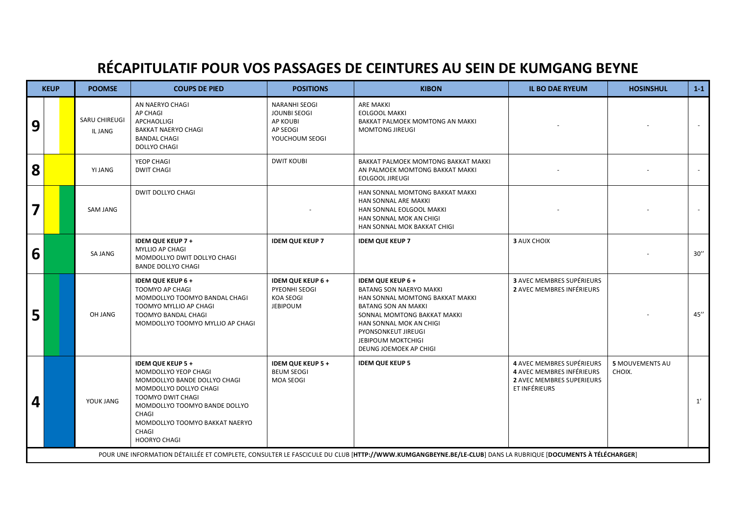## **RÉCAPITULATIF POUR VOS PASSAGES DE CEINTURES AU SEIN DE KUMGANG BEYNE**

| <b>KEUP</b>                                                                                                                                                |  | <b>POOMSE</b>                   | <b>COUPS DE PIED</b>                                                                                                                                                                                                                        | <b>POSITIONS</b>                                                                      | <b>KIBON</b>                                                                                                                                                                                                                                                       | <b>IL BO DAE RYEUM</b>                                                                                             | <b>HOSINSHUL</b>                 | $1-1$               |  |  |
|------------------------------------------------------------------------------------------------------------------------------------------------------------|--|---------------------------------|---------------------------------------------------------------------------------------------------------------------------------------------------------------------------------------------------------------------------------------------|---------------------------------------------------------------------------------------|--------------------------------------------------------------------------------------------------------------------------------------------------------------------------------------------------------------------------------------------------------------------|--------------------------------------------------------------------------------------------------------------------|----------------------------------|---------------------|--|--|
| 9                                                                                                                                                          |  | <b>SARU CHIREUGI</b><br>IL JANG | AN NAERYO CHAGI<br>AP CHAGI<br><b>APCHAOLLIGI</b><br><b>BAKKAT NAERYO CHAGI</b><br><b>BANDAL CHAGI</b><br>DOLLYO CHAGI                                                                                                                      | <b>NARANHI SEOGI</b><br><b>JOUNBI SEOGI</b><br>AP KOUBI<br>AP SEOGI<br>YOUCHOUM SEOGI | <b>ARE MAKKI</b><br><b>EOLGOOL MAKKI</b><br><b>BAKKAT PALMOEK MOMTONG AN MAKKI</b><br><b>MOMTONG JIREUGI</b>                                                                                                                                                       |                                                                                                                    |                                  |                     |  |  |
| 8                                                                                                                                                          |  | YI JANG                         | YEOP CHAGI<br><b>DWIT CHAGI</b>                                                                                                                                                                                                             | <b>DWIT KOUBI</b>                                                                     | BAKKAT PALMOEK MOMTONG BAKKAT MAKKI<br>AN PALMOEK MOMTONG BAKKAT MAKKI<br>EOLGOOL JIREUGI                                                                                                                                                                          |                                                                                                                    |                                  |                     |  |  |
| 7                                                                                                                                                          |  | <b>SAM JANG</b>                 | <b>DWIT DOLLYO CHAGI</b>                                                                                                                                                                                                                    |                                                                                       | HAN SONNAL MOMTONG BAKKAT MAKKI<br><b>HAN SONNAL ARE MAKKI</b><br>HAN SONNAL EOLGOOL MAKKI<br>HAN SONNAL MOK AN CHIGI<br>HAN SONNAL MOK BAKKAT CHIGI                                                                                                               |                                                                                                                    |                                  |                     |  |  |
| 6                                                                                                                                                          |  | SA JANG                         | <b>IDEM QUE KEUP 7+</b><br>MYLLIO AP CHAGI<br>MOMDOLLYO DWIT DOLLYO CHAGI<br><b>BANDE DOLLYO CHAGI</b>                                                                                                                                      | <b>IDEM QUE KEUP 7</b>                                                                | <b>IDEM QUE KEUP 7</b>                                                                                                                                                                                                                                             | <b>3 AUX CHOIX</b>                                                                                                 |                                  | 30''                |  |  |
| 5                                                                                                                                                          |  | OH JANG                         | <b>IDEM QUE KEUP 6 +</b><br>TOOMYO AP CHAGI<br>MOMDOLLYO TOOMYO BANDAL CHAGI<br>TOOMYO MYLLIO AP CHAGI<br>TOOMYO BANDAL CHAGI<br>MOMDOLLYO TOOMYO MYLLIO AP CHAGI                                                                           | <b>IDEM QUE KEUP 6+</b><br>PYEONHI SEOGI<br><b>KOA SEOGI</b><br><b>JEBIPOUM</b>       | <b>IDEM QUE KEUP 6+</b><br><b>BATANG SON NAERYO MAKKI</b><br>HAN SONNAL MOMTONG BAKKAT MAKKI<br><b>BATANG SON AN MAKKI</b><br>SONNAL MOMTONG BAKKAT MAKKI<br>HAN SONNAL MOK AN CHIGI<br>PYONSONKEUT JIREUGI<br><b>JEBIPOUM MOKTCHIGI</b><br>DEUNG JOEMOEK AP CHIGI | <b>3 AVEC MEMBRES SUPÉRIEURS</b><br><b>2 AVEC MEMBRES INFÉRIEURS</b>                                               |                                  | $45^{\prime\prime}$ |  |  |
| 4                                                                                                                                                          |  | YOUK JANG                       | <b>IDEM QUE KEUP 5 +</b><br>MOMDOLLYO YEOP CHAGI<br>MOMDOLLYO BANDE DOLLYO CHAGI<br>MOMDOLLYO DOLLYO CHAGI<br>TOOMYO DWIT CHAGI<br>MOMDOLLYO TOOMYO BANDE DOLLYO<br>CHAGI<br>MOMDOLLYO TOOMYO BAKKAT NAERYO<br>CHAGI<br><b>HOORYO CHAGI</b> | <b>IDEM QUE KEUP 5 +</b><br><b>BEUM SEOGI</b><br><b>MOA SEOGI</b>                     | <b>IDEM QUE KEUP 5</b>                                                                                                                                                                                                                                             | 4 AVEC MEMBRES SUPÉRIEURS<br><b>4 AVEC MEMBRES INFÉRIEURS</b><br><b>2 AVEC MEMBRES SUPERIEURS</b><br>ET INFÉRIEURS | <b>5 MOUVEMENTS AU</b><br>CHOIX. | 1'                  |  |  |
| POUR UNE INFORMATION DÉTAILLÉE ET COMPLETE, CONSULTER LE FASCICULE DU CLUB [HTTP://WWW.KUMGANGBEYNE.BE/LE-CLUB] DANS LA RUBRIQUE [DOCUMENTS À TÉLÉCHARGER] |  |                                 |                                                                                                                                                                                                                                             |                                                                                       |                                                                                                                                                                                                                                                                    |                                                                                                                    |                                  |                     |  |  |